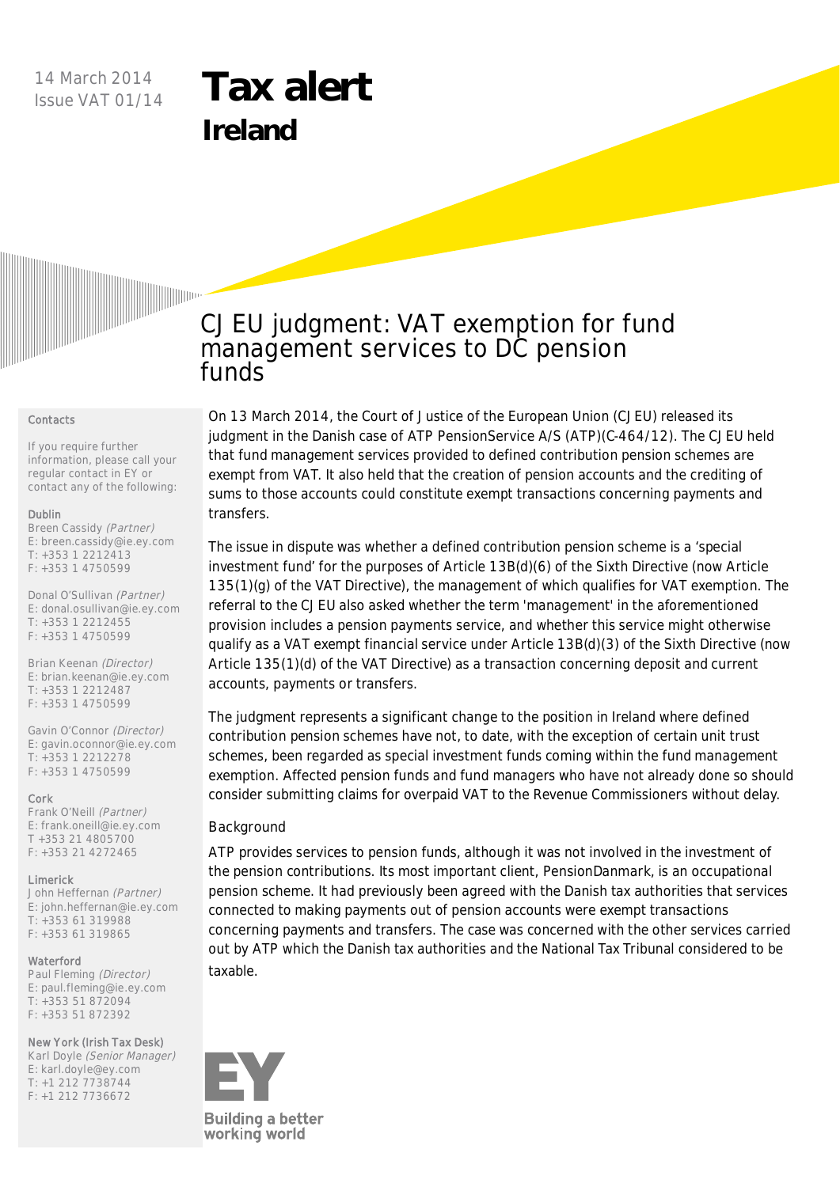## 14 March 2014 Issue VAT 01/14

# **Tax alert Ireland**



#### **Contacts**

If you require further information, please call your regular contact in EY or contact any of the following:

### Dublin

Breen Cassidy (Partner) E: breen.cassidy@ie.ey.com T: +353 1 2212413 F: +353 1 4750599

Donal O'Sullivan (Partner) E: donal.osullivan@ie.ey.com  $T: +35312212455$ F: +353 1 4750599

Brian Keenan (Director) E: brian.keenan@ie.ey.com T: +353 1 2212487 F: +353 1 4750599

Gavin O'Connor (Director) E: gavin.oconnor@ie.ey.com T: +353 1 2212278 F: +353 1 4750599

#### Cork

Frank O'Neill (Partner) E: frank.oneill@ie.ey.com T +353 21 4805700 F: +353 21 4272465

#### **Limerick**

John Heffernan (Partner) E: john.heffernan@ie.ey.com T: +353 61 319988 F: +353 61 319865

#### Waterford

Paul Fleming (Director) E: paul.fleming@ie.ey.com T: +353 51 872094 F: +353 51 872392

#### New York (Irish Tax Desk)

Karl Doyle (Senior Manager) E: karl.doyle@ey.com T: +1 212 7738744 F: +1 212 7736672

# **CJEU judgment: VAT exemption for fund management services to DC pension funds**

On 13 March 2014, the Court of Justice of the European Union (CJEU) released its judgment in the Danish case of ATP PensionService A/S (ATP)(C-464/12). The CJEU held that fund management services provided to defined contribution pension schemes are exempt from VAT. It also held that the creation of pension accounts and the crediting of sums to those accounts could constitute exempt transactions concerning payments and transfers.

The issue in dispute was whether a defined contribution pension scheme is a 'special investment fund' for the purposes of Article 13B(d)(6) of the Sixth Directive (now Article 135(1)(g) of the VAT Directive), the management of which qualifies for VAT exemption. The referral to the CJEU also asked whether the term 'management' in the aforementioned provision includes a pension payments service, and whether this service might otherwise qualify as a VAT exempt financial service under Article 13B(d)(3) of the Sixth Directive (now Article 135(1)(d) of the VAT Directive) as a transaction concerning deposit and current accounts, payments or transfers.

The judgment represents a significant change to the position in Ireland where defined contribution pension schemes have not, to date, with the exception of certain unit trust schemes, been regarded as special investment funds coming within the fund management exemption. Affected pension funds and fund managers who have not already done so should consider submitting claims for overpaid VAT to the Revenue Commissioners without delay.

## **Background**

ATP provides services to pension funds, although it was not involved in the investment of the pension contributions. Its most important client, PensionDanmark, is an occupational pension scheme. It had previously been agreed with the Danish tax authorities that services connected to making payments out of pension accounts were exempt transactions concerning payments and transfers. The case was concerned with the other services carried out by ATP which the Danish tax authorities and the National Tax Tribunal considered to be taxable.

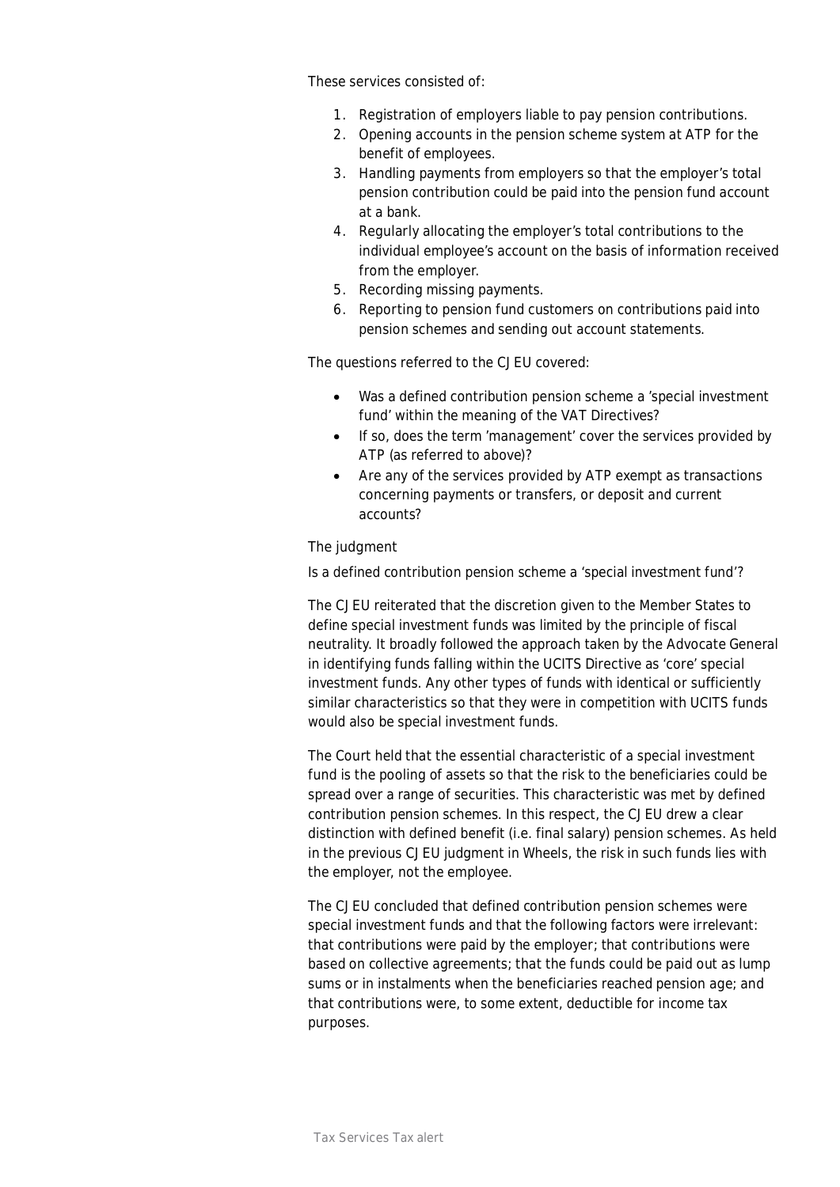These services consisted of:

- 1. Registration of employers liable to pay pension contributions.
- 2. Opening accounts in the pension scheme system at ATP for the benefit of employees.
- 3. Handling payments from employers so that the employer's total pension contribution could be paid into the pension fund account at a bank.
- 4. Regularly allocating the employer's total contributions to the individual employee's account on the basis of information received from the employer.
- 5. Recording missing payments.
- 6. Reporting to pension fund customers on contributions paid into pension schemes and sending out account statements.

The questions referred to the CJEU covered:

- · Was a defined contribution pension scheme a 'special investment fund' within the meaning of the VAT Directives?
- · If so, does the term 'management' cover the services provided by ATP (as referred to above)?
- Are any of the services provided by ATP exempt as transactions concerning payments or transfers, or deposit and current accounts?

## **The judgment**

## *Is a defined contribution pension scheme a 'special investment fund'?*

The CJEU reiterated that the discretion given to the Member States to define special investment funds was limited by the principle of fiscal neutrality. It broadly followed the approach taken by the Advocate General in identifying funds falling within the UCITS Directive as 'core' special investment funds. Any other types of funds with identical or sufficiently similar characteristics so that they were in competition with UCITS funds would also be special investment funds.

The Court held that the essential characteristic of a special investment fund is the pooling of assets so that the risk to the beneficiaries could be spread over a range of securities. This characteristic was met by defined contribution pension schemes. In this respect, the CJEU drew a clear distinction with defined benefit (i.e. final salary) pension schemes. As held in the previous CJEU judgment in *Wheels*, the risk in such funds lies with the employer, not the employee.

The CJEU concluded that defined contribution pension schemes were special investment funds and that the following factors were irrelevant: that contributions were paid by the employer; that contributions were based on collective agreements; that the funds could be paid out as lump sums or in instalments when the beneficiaries reached pension age; and that contributions were, to some extent, deductible for income tax purposes.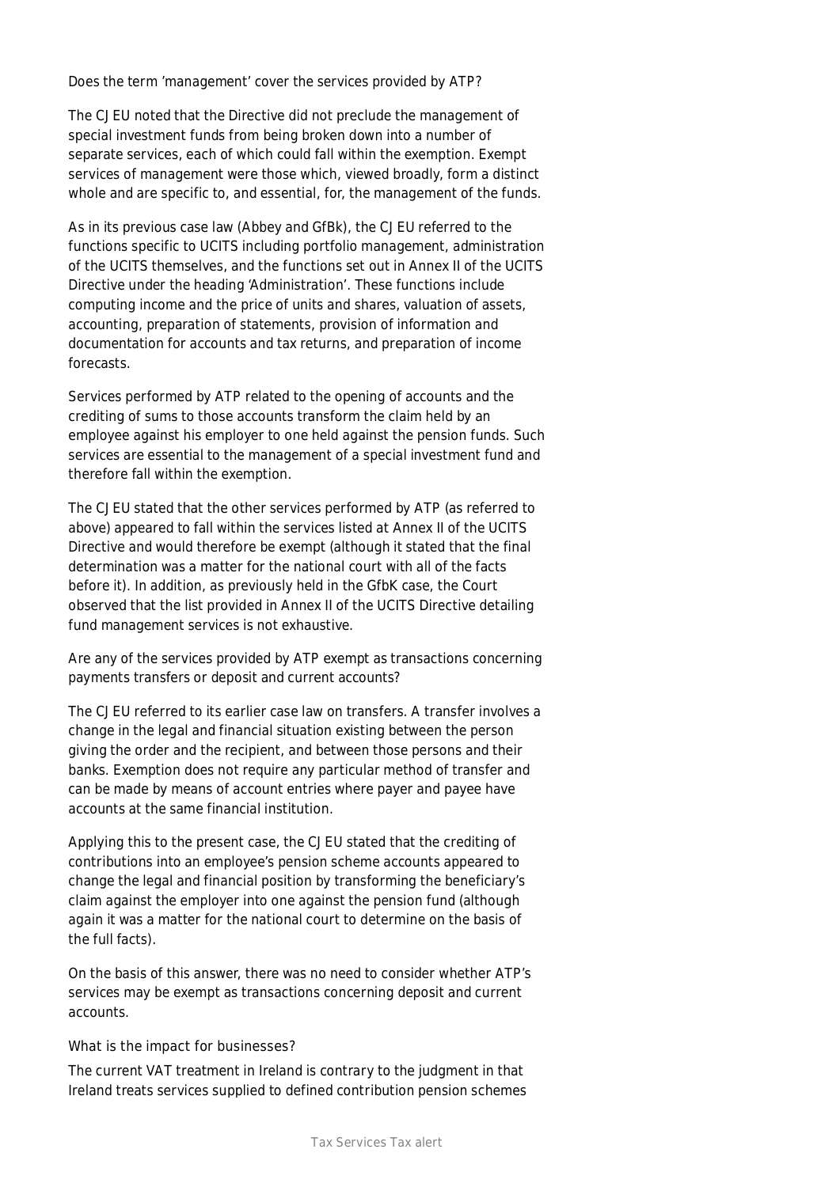## *Does the term 'management' cover the services provided by ATP?*

The CJEU noted that the Directive did not preclude the management of special investment funds from being broken down into a number of separate services, each of which could fall within the exemption. Exempt services of management were those which, viewed broadly, form a distinct whole and are specific to, and essential, for, the management of the funds.

As in its previous case law (*Abbey* and *GfBk*), the CJEU referred to the functions specific to UCITS including portfolio management, administration of the UCITS themselves, and the functions set out in Annex II of the UCITS Directive under the heading 'Administration'. These functions include computing income and the price of units and shares, valuation of assets, accounting, preparation of statements, provision of information and documentation for accounts and tax returns, and preparation of income forecasts.

Services performed by ATP related to the opening of accounts and the crediting of sums to those accounts transform the claim held by an employee against his employer to one held against the pension funds. Such services are essential to the management of a special investment fund and therefore fall within the exemption.

The CJEU stated that the other services performed by ATP (as referred to above) appeared to fall within the services listed at Annex II of the UCITS Directive and would therefore be exempt (although it stated that the final determination was a matter for the national court with all of the facts before it). In addition, as previously held in the GfbK case, the Court observed that the list provided in Annex II of the UCITS Directive detailing fund management services is not exhaustive.

## *Are any of the services provided by ATP exempt as transactions concerning payments transfers or deposit and current accounts?*

The CJEU referred to its earlier case law on transfers. A transfer involves a change in the legal and financial situation existing between the person giving the order and the recipient, and between those persons and their banks. Exemption does not require any particular method of transfer and can be made by means of account entries where payer and payee have accounts at the same financial institution.

Applying this to the present case, the CJEU stated that the crediting of contributions into an employee's pension scheme accounts appeared to change the legal and financial position by transforming the beneficiary's claim against the employer into one against the pension fund (although again it was a matter for the national court to determine on the basis of the full facts).

On the basis of this answer, there was no need to consider whether ATP's services may be exempt as transactions concerning deposit and current accounts.

## **What is the impact for businesses?**

The current VAT treatment in Ireland is contrary to the judgment in that Ireland treats services supplied to defined contribution pension schemes